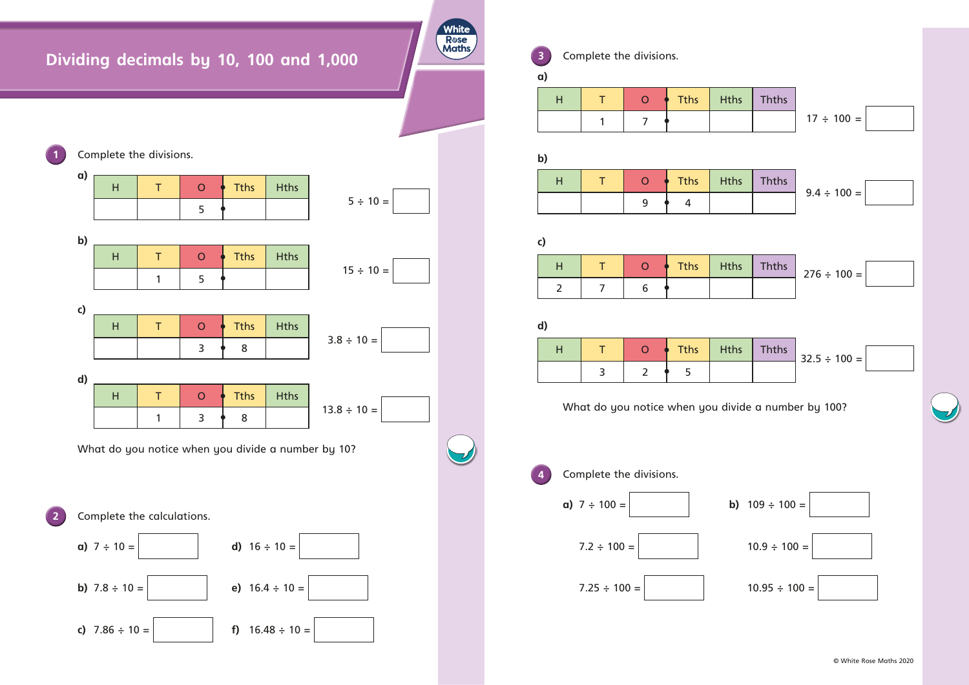## **Dividing decimals by 10, 100 and 1,000**



**3** Complete the divisions.

**White** Rose<br>Maths

What do you notice when you divide a number by 100?

**4 Complete the divisions. a)**  $7 \div 100 =$  **b)**  $109 \div 100 =$  $7.2 \div 100 =$  10.9  $\div 100 =$  $7.25 \div 100 =$  10.95  $\div 100 =$ 



| $\alpha$ )   |                |                |                |                |             |              |                   |
|--------------|----------------|----------------|----------------|----------------|-------------|--------------|-------------------|
|              | H              | T              | $\overline{O}$ | <b>Tths</b>    | <b>Hths</b> | <b>Thths</b> |                   |
|              |                | $\mathbf{1}$   | $\overline{7}$ |                |             |              | $17 \div 100 =$   |
|              |                |                |                |                |             |              |                   |
| $\mathbf{b}$ |                |                |                |                |             |              |                   |
|              | H              | T              | $\mathbf O$    | <b>Tths</b>    | <b>Hths</b> | <b>Thths</b> |                   |
|              |                |                | 9              | $\overline{4}$ |             |              | $9.4 \div 100 =$  |
|              |                |                |                |                |             |              |                   |
| $\mathsf{c}$ |                |                |                |                |             |              |                   |
|              |                |                |                |                |             |              |                   |
|              | H              | T              | $\overline{O}$ | <b>Tths</b>    | <b>Hths</b> | <b>Thths</b> | $276 \div 100 =$  |
|              | $\overline{2}$ | $\overline{7}$ | 6              |                |             |              |                   |
|              |                |                |                |                |             |              |                   |
| d)           |                |                |                |                |             |              |                   |
|              | H              | T              | $\overline{O}$ | <b>Tths</b>    | <b>Hths</b> | <b>Thths</b> | $32.5 \div 100 =$ |

| H              | т              | $\mathsf{O}$   | <b>Tths</b> | <b>Hths</b> | <b>Thths</b> |                   |
|----------------|----------------|----------------|-------------|-------------|--------------|-------------------|
|                | 1              | $\overline{7}$ |             |             |              | $17 \div 100 =$   |
| b)             |                |                |             |             |              |                   |
| H              | T              | $\overline{O}$ | <b>Tths</b> | <b>Hths</b> | <b>Thths</b> |                   |
|                |                | 9              | 4           |             |              | $9.4 \div 100 =$  |
|                |                |                |             |             |              |                   |
| $\mathsf{c}$   |                |                |             |             |              |                   |
| H              | T              | $\overline{O}$ | <b>Tths</b> | <b>Hths</b> | <b>Thths</b> | $276 \div 100 =$  |
| $\overline{2}$ | $\overline{7}$ | 6              |             |             |              |                   |
| d)             |                |                |             |             |              |                   |
| H              | Τ              | $\overline{O}$ | <b>Tths</b> | <b>Hths</b> | <b>Thths</b> | $32.5 \div 100 =$ |

| H              | Τ              | $\mathsf{O}$   | <b>Tths</b> | <b>Hths</b> | <b>Thths</b> |                   |
|----------------|----------------|----------------|-------------|-------------|--------------|-------------------|
|                | 1              | $\overline{7}$ |             |             |              | $17 \div 100 =$   |
| (c             |                |                |             |             |              |                   |
| H              | $\top$         | $\overline{O}$ | <b>Tths</b> | <b>Hths</b> | <b>Thths</b> |                   |
|                |                | 9              | 4           |             |              | $9.4 \div 100 =$  |
|                |                |                |             |             |              |                   |
| ะ)             |                |                |             |             |              |                   |
| H              | $\top$         | $\overline{O}$ | <b>Tths</b> | <b>Hths</b> | <b>Thths</b> | $276 \div 100 =$  |
| $\overline{2}$ | $\overline{7}$ | $6\phantom{1}$ |             |             |              |                   |
| (k             |                |                |             |             |              |                   |
| H              | T              | $\overline{O}$ | <b>Tths</b> | <b>Hths</b> | <b>Thths</b> | $32.5 \div 100 =$ |

| H              | Τ              | $\mathbf O$    | <b>Tths</b> | <b>Hths</b> | <b>Thths</b> |                   |
|----------------|----------------|----------------|-------------|-------------|--------------|-------------------|
|                | 1              | $\overline{7}$ |             |             |              | $17 \div 100 =$   |
|                |                |                |             |             |              |                   |
| b)             |                |                |             |             |              |                   |
| H              | T              | $\overline{O}$ | <b>Tths</b> | <b>Hths</b> | <b>Thths</b> |                   |
|                |                | 9              | 4           |             |              | $9.4 \div 100 =$  |
|                |                |                |             |             |              |                   |
| c)             |                |                |             |             |              |                   |
| H              | T              | $\overline{O}$ | <b>Tths</b> | <b>Hths</b> | <b>Thths</b> | $276 \div 100 =$  |
| $\overline{2}$ | $\overline{7}$ | 6              |             |             |              |                   |
|                |                |                |             |             |              |                   |
| d)             |                |                |             |             |              |                   |
| H              | $\top$         | $\overline{O}$ | <b>Tths</b> | <b>Hths</b> | <b>Thths</b> | $32.5 \div 100 =$ |
|                | 3              | $\overline{2}$ | 5           |             |              |                   |
|                |                |                |             |             |              |                   |